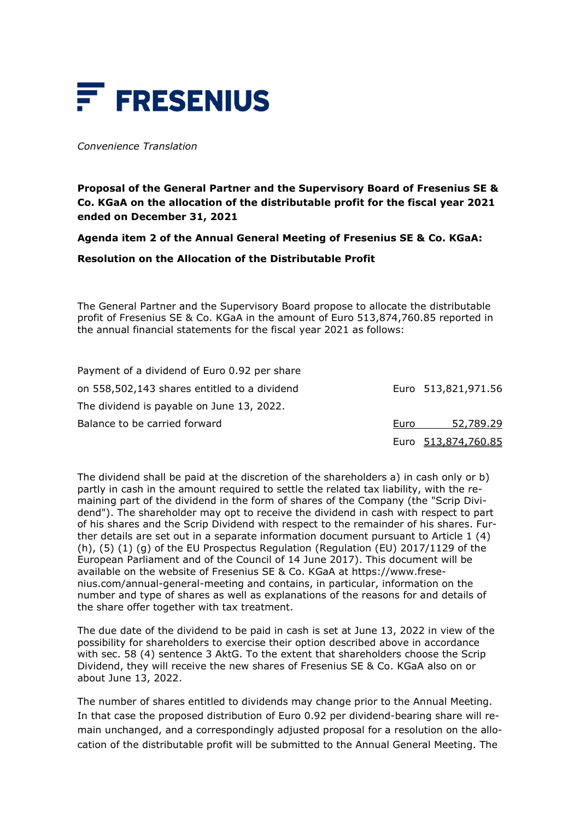

*Convenience Translation*

**Proposal of the General Partner and the Supervisory Board of Fresenius SE & Co. KGaA on the allocation of the distributable profit for the fiscal year 2021 ended on December 31, 2021**

**Agenda item 2 of the Annual General Meeting of Fresenius SE & Co. KGaA:** 

**Resolution on the Allocation of the Distributable Profit**

The General Partner and the Supervisory Board propose to allocate the distributable profit of Fresenius SE & Co. KGaA in the amount of Euro 513,874,760.85 reported in the annual financial statements for the fiscal year 2021 as follows:

| Payment of a dividend of Euro 0.92 per share |      |                     |
|----------------------------------------------|------|---------------------|
| on 558,502,143 shares entitled to a dividend |      | Euro 513,821,971.56 |
| The dividend is payable on June 13, 2022.    |      |                     |
| Balance to be carried forward                | Euro | 52,789.29           |
|                                              |      | Euro 513,874,760.85 |

The dividend shall be paid at the discretion of the shareholders a) in cash only or b) partly in cash in the amount required to settle the related tax liability, with the remaining part of the dividend in the form of shares of the Company (the "Scrip Dividend"). The shareholder may opt to receive the dividend in cash with respect to part of his shares and the Scrip Dividend with respect to the remainder of his shares. Further details are set out in a separate information document pursuant to Article 1 (4) (h), (5) (1) (g) of the EU Prospectus Regulation (Regulation (EU) 2017/1129 of the European Parliament and of the Council of 14 June 2017). This document will be available on the website of Fresenius SE & Co. KGaA at https://www.fresenius.com/annual-general-meeting and contains, in particular, information on the number and type of shares as well as explanations of the reasons for and details of the share offer together with tax treatment.

The due date of the dividend to be paid in cash is set at June 13, 2022 in view of the possibility for shareholders to exercise their option described above in accordance with sec. 58 (4) sentence 3 AktG. To the extent that shareholders choose the Scrip Dividend, they will receive the new shares of Fresenius SE & Co. KGaA also on or about June 13, 2022.

The number of shares entitled to dividends may change prior to the Annual Meeting. In that case the proposed distribution of Euro 0.92 per dividend-bearing share will remain unchanged, and a correspondingly adjusted proposal for a resolution on the allocation of the distributable profit will be submitted to the Annual General Meeting. The